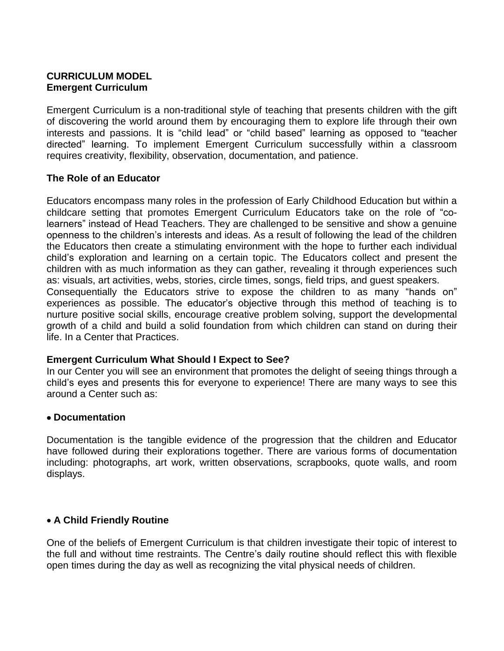# **CURRICULUM MODEL Emergent Curriculum**

Emergent Curriculum is a non-traditional style of teaching that presents children with the gift of discovering the world around them by encouraging them to explore life through their own interests and passions. It is "child lead" or "child based" learning as opposed to "teacher directed" learning. To implement Emergent Curriculum successfully within a classroom requires creativity, flexibility, observation, documentation, and patience.

# **The Role of an Educator**

life. In a Center that Practices.

Educators encompass many roles in the profession of Early Childhood Education but within a childcare setting that promotes Emergent Curriculum Educators take on the role of "colearners" instead of Head Teachers. They are challenged to be sensitive and show a genuine openness to the children's interests and ideas. As a result of following the lead of the children the Educators then create a stimulating environment with the hope to further each individual child's exploration and learning on a certain topic. The Educators collect and present the children with as much information as they can gather, revealing it through experiences such as: visuals, art activities, webs, stories, circle times, songs, field trips, and guest speakers. Consequentially the Educators strive to expose the children to as many "hands on" experiences as possible. The educator's objective through this method of teaching is to nurture positive social skills, encourage creative problem solving, support the developmental growth of a child and build a solid foundation from which children can stand on during their

# **Emergent Curriculum What Should I Expect to See?**

In our Center you will see an environment that promotes the delight of seeing things through a child's eyes and presents this for everyone to experience! There are many ways to see this around a Center such as:

## **Documentation**

Documentation is the tangible evidence of the progression that the children and Educator have followed during their explorations together. There are various forms of documentation including: photographs, art work, written observations, scrapbooks, quote walls, and room displays.

# **A Child Friendly Routine**

One of the beliefs of Emergent Curriculum is that children investigate their topic of interest to the full and without time restraints. The Centre's daily routine should reflect this with flexible open times during the day as well as recognizing the vital physical needs of children.